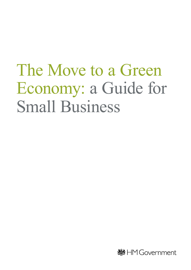# The Move to a Green Economy: a Guide for Small Business

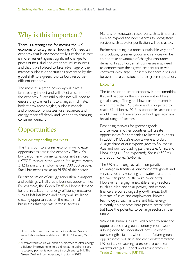### Why is this important?

There is a strong case for moving the UK economy onto a greener footing. We need an economy that is environmentally sustainable, that is more resilient against significant changes to prices of fossil fuel and other natural resources, and that is well placed to take advantage of the massive business opportunities presented by the global shift to a green, low-carbon, resourceefficient economy.

The move to a green economy will have a far-reaching impact and will affect all sectors of the economy. Successful businesses will need to ensure they are resilient to changes in climate, look at new technologies, business models and production processes, use resources and energy more efficiently and respond to changing consumer demand.

## **Opportunities**

#### New or expanding markets

The transition to a green economy will create opportunities across the economy. The UK's low carbon environmental goods and services (LCEGS) market is the world's 6th largest, worth £112 billion and employing over 900,000 people. Small businesses make up 91.5% of this sector<sup>1</sup>. .

Decarbonisation of energy generation, transport and buildings will all create business opportunities. For example, the Green Deal<sup>2</sup> will boost demand for the installation of energy efficiency measures such as loft insulation and cavity wall insulation, creating opportunities for the many small businesses that operate in these sectors.

Markets for renewable resources such as timber are likely to expand and new markets for ecosystem services such as water purification will be created.

Businesses acting in a more sustainable way and/ or producing greener goods and services will be able to take advantage of changing consumer demand. In addition, small businesses may need to demonstrate their green credentials to win contracts with large suppliers who themselves will be ever more conscious of their green reputation.

#### Exports

The transition to green economy is not something that will happen in the UK alone – it will be a global change. The global low-carbon market is worth more than £3 trillion and is projected to reach £4 trillion by 2015 as economies around the world invest in low-carbon technologies across a broad range of sectors.

Expanding markets for greener goods and services in other countries will create opportunities for companies to increase exports. In 2008, UK LCEGS exports were £10.8bn. A large share of our exports goes to Southeast Asia and our top trading partners are: China and Hong Kong (£1.3bn exported), Spain (£500m) and South Korea (£460m).

The UK has strong revealed comparative advantage in traditional environmental goods and services such as recycling and water treatment (i.e. we can produce them at lower cost). However, emerging renewable energy sectors (such as wind and solar power) and carbon finance are our strongest growth areas, both in terms of sales and employment. Newer technologies, such as wave and tidal energy, currently do not have large private sector sales but have the potential to be large sectors in the future.

While UK businesses are well placed to seize the opportunities in a green economy, more work is being done to understand, not just where our strengths lie, but where other future green opportunities will arise and over what timeframe. UK businesses seeking to export to overseas markets can get support and advice from [UK](http://www.ukti.gov.uk/home.html)  [Trade & Investment \(UKTI\)](http://www.ukti.gov.uk/home.html).

<sup>1</sup> "Low Carbon and Environmental Goods and Services: an industry analysis, update for 2008/09", Innovas, March 2010

<sup>2</sup> A framework which will enable businesses to offer energy efficiency improvements to buildings at no upfront cost, recouping payments over time through energy bills. The Green Deal will start operating in autumn 2012.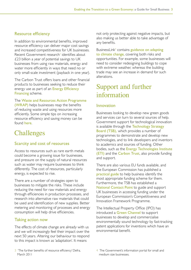#### Resource efficiency

In addition to environmental benefits, improved resource efficiency can deliver major cost savings and increased competitiveness for UK businesses. Recent Government research<sup>3</sup> identifies about £23 billion a year of potential savings to UK businesses from using raw materials, energy and water more efficiently in ways that need no or only small-scale investment (payback in one year).

The Carbon Trust offers loans and other financial products to businesses seeking to reduce their energy use as part of an Energy Efficiency [Financing](http://www.carbontrust.co.uk/cut-carbon-reduce-costs/products-services/financing/pages/financing.aspx) scheme.

The [Waste and Resources Action Programme](http://www.wrap.org.uk/business/index.html)  [\(WRAP\)](http://www.wrap.org.uk/business/index.html) helps businesses reap the benefits

of reducing waste and using resources more efficiently. Some simple tips on increasing resource efficiency and saving money can be found [here](http://www.businesslink.gov.uk/bdotg/action/detail?itemId=1083609730&type=CAMPAIGN).

# **Challenges**

#### Scarcity and cost of resources

Access to resources such as rare earth metals could become a growing issue for businesses, and pressure on the supply of natural resources such as water may require businesses to think differently. The cost of resources, particularly energy, is expected to rise.

There are a number of strategies open to businesses to mitigate the risks. These include reducing the need for raw materials and energy through efficiencies in production processes, and research into alternative raw materials that could be used and identification of new supplies. Better metering and monitoring of processes and energy consumption will help drive efficiencies.

#### Taking action now

The effects of climate change are already with us and we will increasingly feel their impact over the next 50 years. Altering our behaviour to respond to this impact is known as 'adaptation'. It means

not only protecting against negative impacts, but also making us better able to take advantage of any benefits.

BusinessLink<sup>4</sup> contains **guidance on adapting** [to climate change](http://www.businesslink.gov.uk/bdotg/action/layer?topicId=1081658406), covering both risks and opportunities. For example, some businesses will need to consider redesigning buildings to cope with extreme weather, whereas the building trade may see an increase in demand for such alterations.

# Support and further information

#### Innovation

Businesses looking to develop new green goods and services can turn to several sources of help. Government support for technological innovation is available through the Technology Strategy [Board \(TSB\),](http://www.innovateuk.org/) which provides a number of programmes to demonstrate and develop new technologies, and to link developers and inventors to academics and sources of funding. Other bodies, such as the **Energy Technologies Institute** [\(ETI\)](http://www.energytechnologies.co.uk/Home.aspx) and the [Carbon Trust](http://www.carbontrust.co.uk/Pages/Default.aspx), also provide funding and support.

There are also various EU funds available, and the European Commission has published a [practical guide](http://cordis.europa.eu/eu-funding-guide/home_en.html) to help business identify the most appropriate funding scheme for them. Furthermore, the TSB has established a [National Contact Point](http://ec.europa.eu/environment/eco-innovation/contact/national-contact/index_en.htm) to guide and support UK businesses in accessing funding under the European Commission's Competitiveness and Innovation Framework Programme.

The Intellectual Property Office (IPO) has introduced a [Green Channel](http://www.ipo.gov.uk/pro-types/pro-patent/p-law/p-accelerated/pro-p-green.htm) to support businesses to develop and commercialise environmentally sound technology by fast-tracking patent applications for inventions which have an environmental benefit.

- 3 'The further benefits of resource efficiency' Defra, March 2011
- 4 The Government's information portal for small and medium size businesses.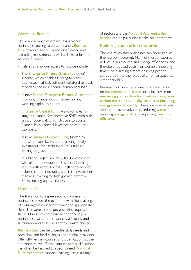#### Access to finance

There are a range of options available for businesses seeking to access finance. **Business** [Link](http://www.businesslink.gov.uk/bdotg/action/layer?r.l1=1073858790&r.l2=1087443365&r.s=tl&topicId=1087443554) provides advice on securing finance and attracting investment, as well as links to further sources of advice.

Initiatives to improve access to finance include:

- The [Enterprise Finance Guarantee](http://www.bis.gov.uk/policies/enterprise-and-business-support/access-to-finance/enterprise-finance-guarantee) (EFG) scheme, which enables lending to viable businesses that lack sufficient collateral or track record to secure a normal commercial loan.
- A new [Export Enterprise Finance Guarantee](http://www.betterbusinessfinance.co.uk/help-support/factsheets/export-enterprise-finance-guarantee-scheme-exefg), providing finance for businesses seeking working capital to export.
- [Enterprise Capital Funds](http://www.bis.gov.uk/policies/enterprise-and-business-support/access-to-finance/enterprise-capital-funds) providing earlystage risk capital for innovative SMEs with high growth potential, which struggle to access finance from informal investors or venture capitalists.
- A new [Business Growth Fund](http://www.businessgrowthfund.co.uk), funded by the UK's major banks and providing equity investments for established SMEs that are looking to grow.
- In addition, in January 2012, the Government will roll out a network of Business Coaching for Growth centres across England to provide tailored support including specialist investment readiness training for high growth potential SMEs seeking equity finance.

#### Green skills

The transition to a green economy presents businesses across the economy with the challenge of ensuring their workforce have the appropriate skills. This varies from specialist skills required in the LCEGS sector to those needed to help all businesses use natural resources efficiently and sustainably and to be resilient to climate change.

[Business Link](http://www.businesslink.gov.uk/bdotg/action/layer?r.l1=1073858787&r.s=tl&topicId=1074202347) can help identify skills needs and provision, and local colleges and training providers offer off-the-shelf courses and qualifications at the appropriate level. These courses and qualifications can often be tailored to specific need. National [Skills Academies](http://www.businesslink.gov.uk/bdotg/action/detail?itemId=1085744959&r.i=1085744847&r.l1=1073858787&r.l2=1074202347&r.l3=1085744683&r.s=sc&r.t=RESOURCES&type=RESOURCES) support training across a range

of sectors and the [National Apprenticeship](http://www.apprenticeships.org.uk/)  [Service](http://www.apprenticeships.org.uk/) can help a business take on apprentices.

#### Reducing your carbon footprint

There is much that businesses can do to reduce their carbon footprint. Many of these measures will result in resource and energy efficiencies, and therefore reduced costs. For example, inserting timers on a lighting system or giving proper consideration to the layout of an office space can cut energy bills.

Business Link provides a wealth of information on [environmental matters](http://www.businesslink.gov.uk/bdotg/action/layer?r.i=1079422130&r.l1=1079068363&r.l2=1086030165&r.l3=1079422118&r.s=m&r.t=RESOURCES&topicId=1079068363), including advice on [measuring your carbon footprint](http://www.businesslink.gov.uk/bdotg/action/detail?itemId=1087025347&r.l1=1079068363&r.l2=1086029607&r.l3=1087025104&r.s=sc&type=RESOURCES), [reducing your](http://www.businesslink.gov.uk/bdotg/action/layer?r.i=1087025347&r.l1=1079068363&r.l2=1086029607&r.l3=1087025104&r.t=RESOURCES&topicId=1080440643)  [carbon emissions](http://www.businesslink.gov.uk/bdotg/action/layer?r.i=1087025347&r.l1=1079068363&r.l2=1086029607&r.l3=1087025104&r.t=RESOURCES&topicId=1080440643) and [using resources \(including](http://www.businesslink.gov.uk/bdotg/action/layer?r.l1=1079068363&r.s=tl&topicId=1086030165)  [energy\) more efficiently](http://www.businesslink.gov.uk/bdotg/action/layer?r.l1=1079068363&r.s=tl&topicId=1086030165). There are several other sites that provide advice on reducing [waste](http://envirowise.wrap.org.uk/uk/Our-Services/Publications/EN030-Finding-hidden-profit-200-tips-for-reducing-waste.html), reducing **[energy costs](http://www.carbontrust.co.uk/cut-carbon-reduce-costs/small-medium-business/pages/small-medium-business.aspx)** and improving **resource** [efficiency](http://envirowise.wrap.org.uk/uk/Our-Services/Publications/EN030-Finding-hidden-profit-200-tips-for-reducing-waste.html).